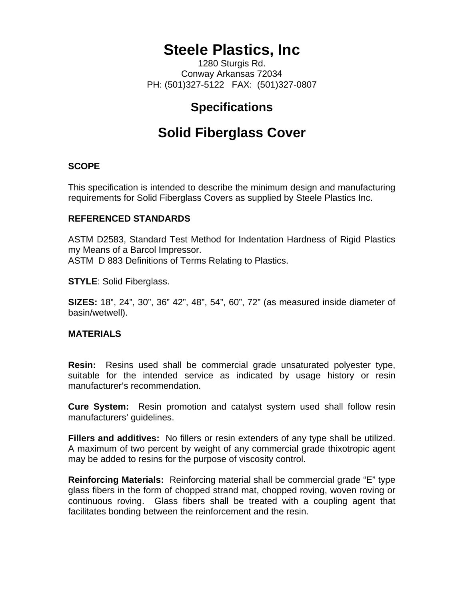# **Steele Plastics, Inc**

1280 Sturgis Rd. Conway Arkansas 72034 PH: (501)327-5122 FAX: (501)327-0807

### **Specifications**

## **Solid Fiberglass Cover**

#### **SCOPE**

This specification is intended to describe the minimum design and manufacturing requirements for Solid Fiberglass Covers as supplied by Steele Plastics Inc.

#### **REFERENCED STANDARDS**

ASTM D2583, Standard Test Method for Indentation Hardness of Rigid Plastics my Means of a Barcol Impressor. ASTM D 883 Definitions of Terms Relating to Plastics.

**STYLE**: Solid Fiberglass.

**SIZES:** 18", 24", 30", 36" 42", 48", 54", 60", 72" (as measured inside diameter of basin/wetwell).

#### **MATERIALS**

**Resin:** Resins used shall be commercial grade unsaturated polyester type, suitable for the intended service as indicated by usage history or resin manufacturer's recommendation.

**Cure System:** Resin promotion and catalyst system used shall follow resin manufacturers' guidelines.

**Fillers and additives:** No fillers or resin extenders of any type shall be utilized. A maximum of two percent by weight of any commercial grade thixotropic agent may be added to resins for the purpose of viscosity control.

**Reinforcing Materials:** Reinforcing material shall be commercial grade "E" type glass fibers in the form of chopped strand mat, chopped roving, woven roving or continuous roving. Glass fibers shall be treated with a coupling agent that facilitates bonding between the reinforcement and the resin.